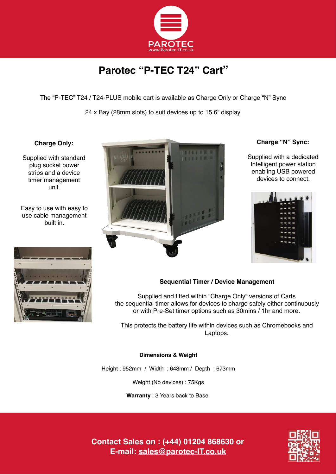

# **Parotec "P-TEC T24" Cart"**

The "P-TEC" T24 / T24-PLUS mobile cart is available as Charge Only or Charge "N" Sync

24 x Bay (28mm slots) to suit devices up to 15.6" display

## **Charge Only:**

Supplied with standard plug socket power strips and a device timer management unit.

Easy to use with easy to use cable management built in.





## **Charge "N" Sync:**

Supplied with a dedicated Intelligent power station enabling USB powered devices to connect.



# **Sequential Timer / Device Management**

Supplied and fitted within "Charge Only" versions of Carts the sequential timer allows for devices to charge safely either continuously or with Pre-Set timer options such as 30mins / 1hr and more.

This protects the battery life within devices such as Chromebooks and Laptops.

### **Dimensions & Weight**

Height : 952mm / Width : 648mm / Depth : 673mm

Weight (No devices) : 75Kgs

**Warranty** : 3 Years back to Base.